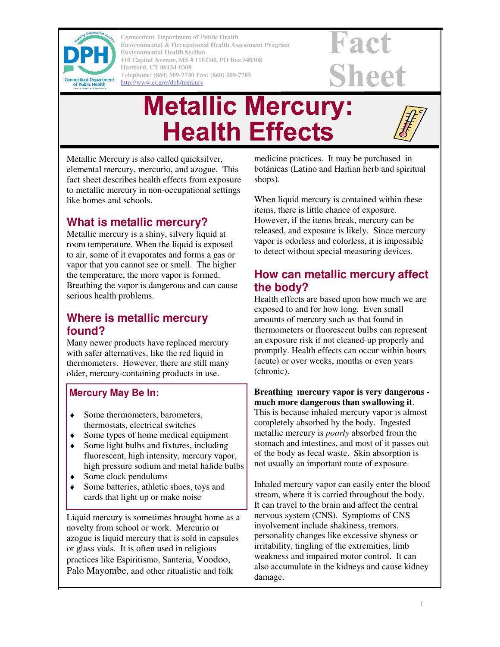

**Connecticut Department of Public Health Connecticut Department of Public Health Environmental & Occupational Health Assessment Program Environmental & Occupational Health Assessment Program Environmental Health Section Environmental Health Section 410 Capitol Avenue, MS # 11EOH, PO Box 340308 410 Capitol Avenue, MS # 11EOH, PO Box 340308 Hartford, CT 06134-0308 Hartford, CT 06134-0308 Telephone: (860) 509-7740 Fax: (860) 509-7785 Telephone: (860) 509-7740 Fax: (860) 509-7785**  http://www.ct.gov/dph/mercury http://www.ct.gov/dph/mercury

# Fact **Sheet**

# **Metallic Mercury: Health Effects**

Metallic Mercury is also called quicksilver, elemental mercury, mercurio, and azogue. This fact sheet describes health effects from exposure to metallic mercury in non-occupational settings like homes and schools.

## **What is metallic mercury?**

Metallic mercury is a shiny, silvery liquid at room temperature. When the liquid is exposed to air, some of it evaporates and forms a gas or vapor that you cannot see or smell. The higher the temperature, the more vapor is formed. Breathing the vapor is dangerous and can cause serious health problems.

## **Where is metallic mercury found?**

Many newer products have replaced mercury with safer alternatives, like the red liquid in thermometers. However, there are still many older, mercury-containing products in use.

### **Mercury May Be In:**

- ♦ Some thermometers, barometers, thermostats, electrical switches
- ♦ Some types of home medical equipment
- Some light bulbs and fixtures, including fluorescent, high intensity, mercury vapor, high pressure sodium and metal halide bulbs
- $\bullet$  Some clock pendulums
- Some batteries, athletic shoes, toys and cards that light up or make noise

Liquid mercury is sometimes brought home as a novelty from school or work. Mercurio or azogue is liquid mercury that is sold in capsules or glass vials. It is often used in religious practices like Espiritismo, Santeria, Voodoo, Palo Mayombe, and other ritualistic and folk

medicine practices. It may be purchased in botánicas (Latino and Haitian herb and spiritual shops).

When liquid mercury is contained within these items, there is little chance of exposure. However, if the items break, mercury can be released, and exposure is likely. Since mercury vapor is odorless and colorless, it is impossible to detect without special measuring devices.

## **How can metallic mercury affect the body?**

Health effects are based upon how much we are exposed to and for how long. Even small amounts of mercury such as that found in thermometers or fluorescent bulbs can represent an exposure risk if not cleaned-up properly and promptly. Health effects can occur within hours (acute) or over weeks, months or even years (chronic).

### **Breathing mercury vapor is very dangerous much more dangerous than swallowing it**.

This is because inhaled mercury vapor is almost completely absorbed by the body. Ingested metallic mercury is *poorly* absorbed from the stomach and intestines, and most of it passes out of the body as fecal waste. Skin absorption is not usually an important route of exposure.

Inhaled mercury vapor can easily enter the blood stream, where it is carried throughout the body. It can travel to the brain and affect the central nervous system (CNS). Symptoms of CNS involvement include shakiness, tremors, personality changes like excessive shyness or irritability, tingling of the extremities, limb weakness and impaired motor control. It can also accumulate in the kidneys and cause kidney damage.